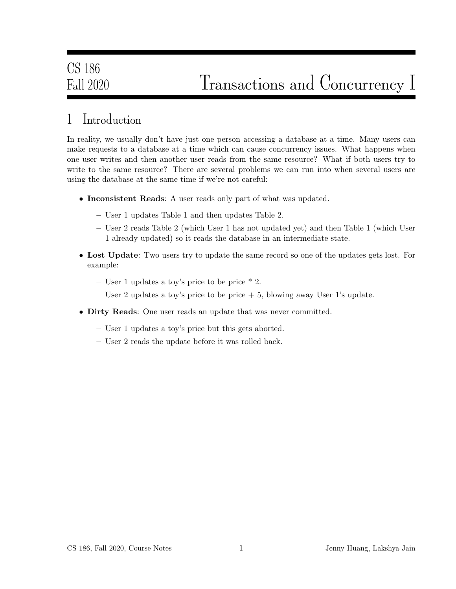# Fall 2020 Transactions and Concurrency I

## 1 Introduction

In reality, we usually don't have just one person accessing a database at a time. Many users can make requests to a database at a time which can cause concurrency issues. What happens when one user writes and then another user reads from the same resource? What if both users try to write to the same resource? There are several problems we can run into when several users are using the database at the same time if we're not careful:

- Inconsistent Reads: A user reads only part of what was updated.
	- User 1 updates Table 1 and then updates Table 2.
	- User 2 reads Table 2 (which User 1 has not updated yet) and then Table 1 (which User 1 already updated) so it reads the database in an intermediate state.
- Lost Update: Two users try to update the same record so one of the updates gets lost. For example:
	- User 1 updates a toy's price to be price \* 2.
	- User 2 updates a toy's price to be price  $+5$ , blowing away User 1's update.
- Dirty Reads: One user reads an update that was never committed.
	- User 1 updates a toy's price but this gets aborted.
	- User 2 reads the update before it was rolled back.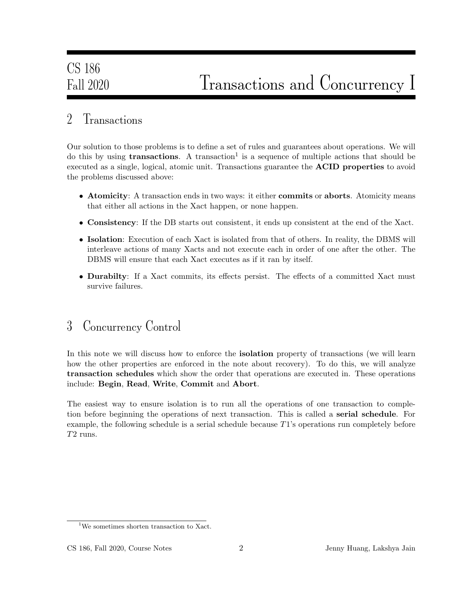#### 2 Transactions

Our solution to those problems is to define a set of rules and guarantees about operations. We will do this by using **transactions**. A transaction<sup>1</sup> is a sequence of multiple actions that should be executed as a single, logical, atomic unit. Transactions guarantee the ACID properties to avoid the problems discussed above:

- Atomicity: A transaction ends in two ways: it either **commits** or **aborts**. Atomicity means that either all actions in the Xact happen, or none happen.
- Consistency: If the DB starts out consistent, it ends up consistent at the end of the Xact.
- Isolation: Execution of each Xact is isolated from that of others. In reality, the DBMS will interleave actions of many Xacts and not execute each in order of one after the other. The DBMS will ensure that each Xact executes as if it ran by itself.
- Durabilty: If a Xact commits, its effects persist. The effects of a committed Xact must survive failures.

#### 3 Concurrency Control

In this note we will discuss how to enforce the **isolation** property of transactions (we will learn how the other properties are enforced in the note about recovery). To do this, we will analyze transaction schedules which show the order that operations are executed in. These operations include: Begin, Read, Write, Commit and Abort.

The easiest way to ensure isolation is to run all the operations of one transaction to completion before beginning the operations of next transaction. This is called a serial schedule. For example, the following schedule is a serial schedule because T1's operations run completely before T2 runs.

<sup>&</sup>lt;sup>1</sup>We sometimes shorten transaction to Xact.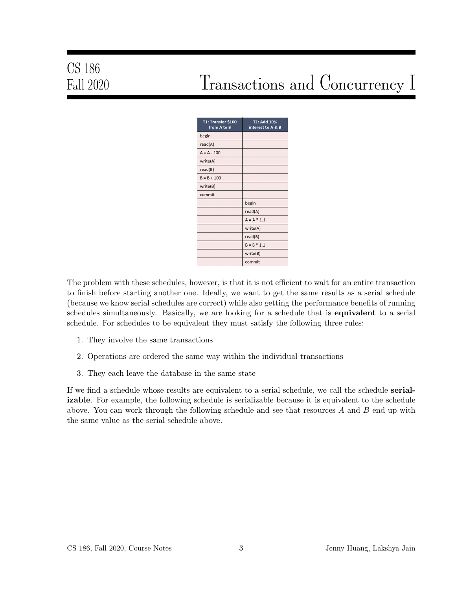# CS 186

# Fall 2020 Transactions and Concurrency I

| T1: Transfer \$100<br>from A to B | T2: Add 10%<br>interest to A & B |
|-----------------------------------|----------------------------------|
| begin                             |                                  |
| read(A)                           |                                  |
| $A = A - 100$                     |                                  |
| write(A)                          |                                  |
| read(B)                           |                                  |
| $B = B + 100$                     |                                  |
| write(B)                          |                                  |
| commit                            |                                  |
|                                   | begin                            |
|                                   | read(A)                          |
|                                   | $A = A * 1.1$                    |
|                                   | write(A)                         |
|                                   | read(B)                          |
|                                   | $B = B * 1.1$                    |
|                                   | write(B)                         |
|                                   | commit                           |

The problem with these schedules, however, is that it is not efficient to wait for an entire transaction to finish before starting another one. Ideally, we want to get the same results as a serial schedule (because we know serial schedules are correct) while also getting the performance benefits of running schedules simultaneously. Basically, we are looking for a schedule that is **equivalent** to a serial schedule. For schedules to be equivalent they must satisfy the following three rules:

- 1. They involve the same transactions
- 2. Operations are ordered the same way within the individual transactions
- 3. They each leave the database in the same state

If we find a schedule whose results are equivalent to a serial schedule, we call the schedule **serial**izable. For example, the following schedule is serializable because it is equivalent to the schedule above. You can work through the following schedule and see that resources  $A$  and  $B$  end up with the same value as the serial schedule above.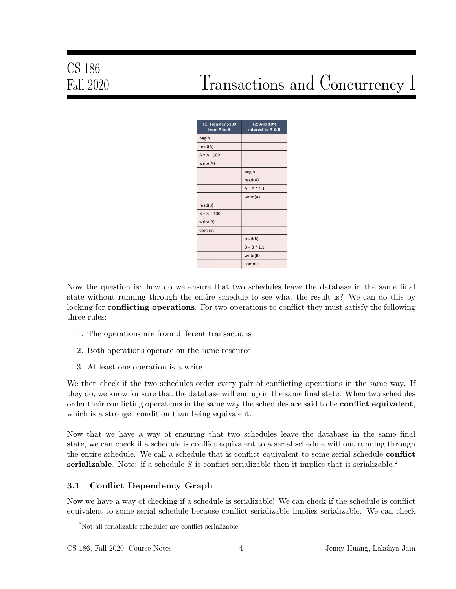# Fall 2020 Transactions and Concurrency I

| T1: Transfer \$100<br>from A to B | T2: Add 10%<br>interest to A & B |
|-----------------------------------|----------------------------------|
| begin                             |                                  |
| read(A)                           |                                  |
| $A = A - 100$                     |                                  |
| write(A)                          |                                  |
|                                   | begin                            |
|                                   | read(A)                          |
|                                   | $A = A * 1.1$                    |
|                                   | write(A)                         |
| read(B)                           |                                  |
| $B = B + 100$                     |                                  |
| write(B)                          |                                  |
| commit                            |                                  |
|                                   | read(B)                          |
|                                   | $B = B * 1.1$                    |
|                                   | write(B)                         |
|                                   | commit                           |

Now the question is: how do we ensure that two schedules leave the database in the same final state without running through the entire schedule to see what the result is? We can do this by looking for **conflicting operations**. For two operations to conflict they must satisfy the following three rules:

- 1. The operations are from different transactions
- 2. Both operations operate on the same resource
- 3. At least one operation is a write

We then check if the two schedules order every pair of conflicting operations in the same way. If they do, we know for sure that the database will end up in the same final state. When two schedules order their conflicting operations in the same way the schedules are said to be **conflict equivalent**, which is a stronger condition than being equivalent.

Now that we have a way of ensuring that two schedules leave the database in the same final state, we can check if a schedule is conflict equivalent to a serial schedule without running through the entire schedule. We call a schedule that is conflict equivalent to some serial schedule **conflict** serializable. Note: if a schedule S is conflict serializable then it implies that is serializable.<sup>2</sup>.

#### 3.1 Conflict Dependency Graph

Now we have a way of checking if a schedule is serializable! We can check if the schedule is conflict equivalent to some serial schedule because conflict serializable implies serializable. We can check

<sup>2</sup>Not all serializable schedules are conflict serializable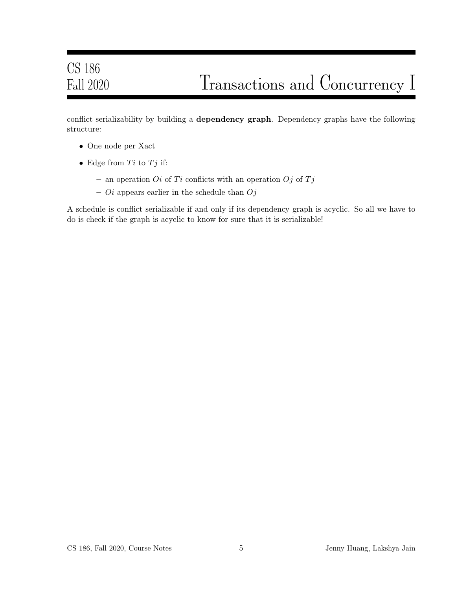# CS 186 Fall 2020 Transactions and Concurrency I

conflict serializability by building a dependency graph. Dependency graphs have the following structure:

- One node per Xact
- Edge from  $Ti$  to  $Tj$  if:
	- an operation *Oi* of Ti conflicts with an operation *Oj* of Tj
	- $\overline{O}i$  appears earlier in the schedule than  $\overline{O}j$

A schedule is conflict serializable if and only if its dependency graph is acyclic. So all we have to do is check if the graph is acyclic to know for sure that it is serializable!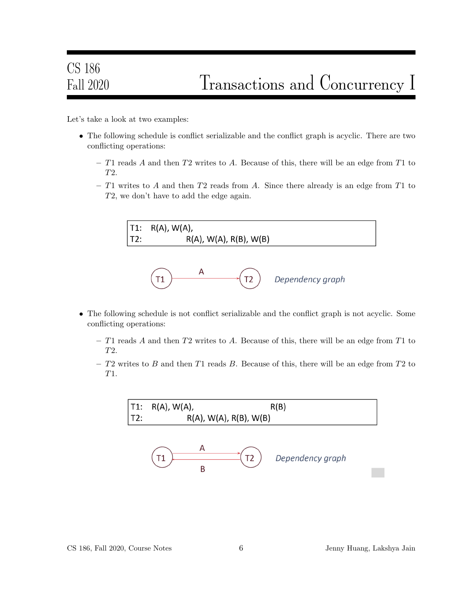Let's take a look at two examples:

- The following schedule is conflict serializable and the conflict graph is acyclic. There are two conflicting operations:
	- T1 reads A and then T2 writes to A. Because of this, there will be an edge from T1 to T2.
	- $-$  T1 writes to A and then T2 reads from A. Since there already is an edge from T1 to T2, we don't have to add the edge again.



- The following schedule is not conflict serializable and the conflict graph is not acyclic. Some conflicting operations:
	- T1 reads A and then T2 writes to A. Because of this, there will be an edge from T1 to T2.
	- $T2$  writes to B and then T1 reads B. Because of this, there will be an edge from T2 to T1.